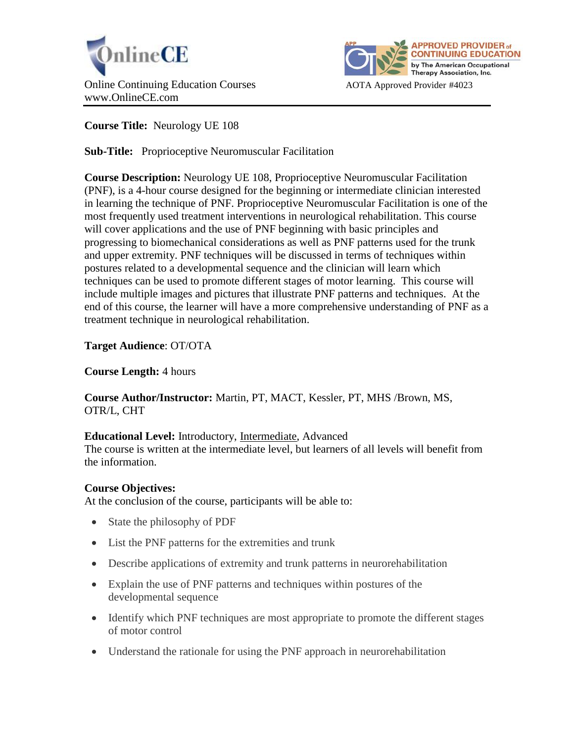



# **Course Title:** Neurology UE 108

**Sub-Title:** Proprioceptive Neuromuscular Facilitation

**Course Description:** Neurology UE 108, Proprioceptive Neuromuscular Facilitation (PNF), is a 4-hour course designed for the beginning or intermediate clinician interested in learning the technique of PNF. Proprioceptive Neuromuscular Facilitation is one of the most frequently used treatment interventions in neurological rehabilitation. This course will cover applications and the use of PNF beginning with basic principles and progressing to biomechanical considerations as well as PNF patterns used for the trunk and upper extremity. PNF techniques will be discussed in terms of techniques within postures related to a developmental sequence and the clinician will learn which techniques can be used to promote different stages of motor learning. This course will include multiple images and pictures that illustrate PNF patterns and techniques. At the end of this course, the learner will have a more comprehensive understanding of PNF as a treatment technique in neurological rehabilitation.

## **Target Audience**: OT/OTA

## **Course Length:** 4 hours

**Course Author/Instructor:** Martin, PT, MACT, Kessler, PT, MHS /Brown, MS, OTR/L, CHT

## **Educational Level:** Introductory, Intermediate, Advanced

The course is written at the intermediate level, but learners of all levels will benefit from the information.

## **Course Objectives:**

At the conclusion of the course, participants will be able to:

- State the philosophy of PDF
- List the PNF patterns for the extremities and trunk
- Describe applications of extremity and trunk patterns in neurorehabilitation
- Explain the use of PNF patterns and techniques within postures of the developmental sequence
- Identify which PNF techniques are most appropriate to promote the different stages of motor control
- Understand the rationale for using the PNF approach in neurorehabilitation